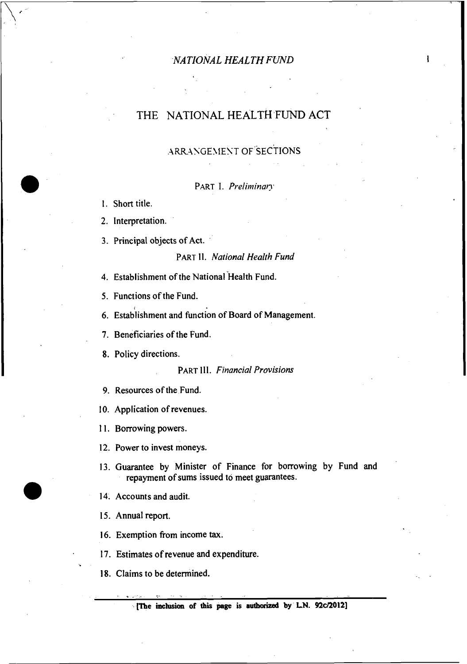ı

# THE NATIONAL HEALTH FUND ACT

# ARRANGEMENT OF SECTIONS

PART I. *Preliminat?'* 

1. Short title.

2. Interpretation.

**3.** Principal objects of Act.

## PART 11. *National Health Fund*

4. Establishment of the National Health Fund.

5. Functions of the Fund.

6. Establishment and function of Board of Management.

7. Beneficiaries of the Fund.

8. Policy directions.

**PART III.** *Financial Provisions* 

9. Resources of the Fund.

10. Application of revenues.

11. Borrowing powers.

12. Power to invest moneys.

**13.** Guarantee by Minister of Finance for borrowing by Fund and repayment of sums issued to meet guarantees.

**14.** Accounts and audit.

15. Annual report.

\*.

16. Exemption from income **tax.** 

17. Estimates of revenue and expenditure.

18. Claims to be determined.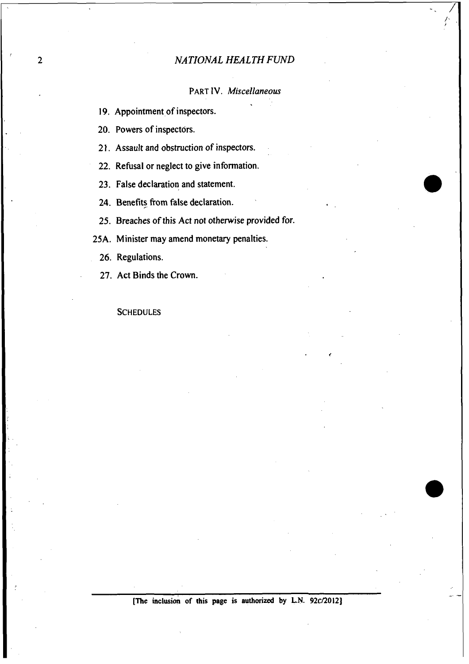*PART* **IV.** *Miscellaneous* 

19. Appointment of inspectors.

20. Powers of inspectors.

2 **1.** Assault and obstruction of inspectors.

22. Refusal or neglect to give information.

23. False declaration and statement.

24. Benefits from false declaration.

25. Breaches of this Act not otherwise provided for.

25A. Minister may amend monetary penalties.

26. Regulations.

27. Act Binds the Crown.

**SCHEDULES**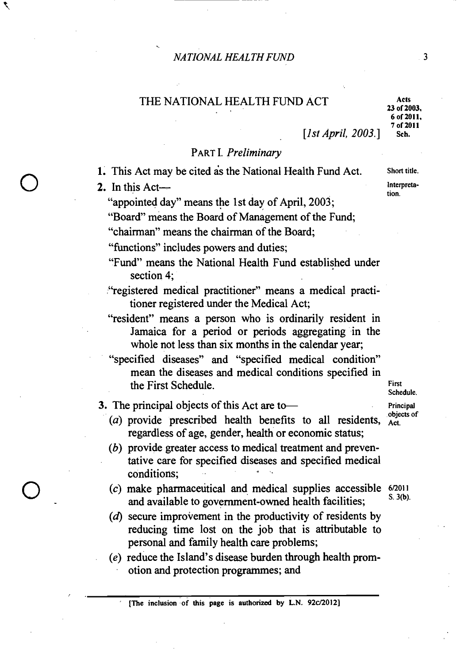# THE NATIONAL HEALTH FUND ACT Acts

[*lst April, 2003.*]

**23 of 2003, 6 of 2011, 7 of 2011** 

3

# PART I. *Preliminary*

1. This Act may be cited as the National Health Fund Act. **Short title.** 

**2.** In this Act— **Interpretistion**.

*J* **r** 

"appointed day" means the **1** st day of April, 2003;

"Board" means the Board of Management of the Fund:

"chairman" means the chairman of the Board;

"fimctions" includes powers and duties;

- "Fund" means the National Health Fund established under section 4;
- "registered medical practitioner" means a medical practitioner registered under the Medical Act;
- "resident" means a person who is ordinarily resident in Jamaica for a period or periods aggregating in the whole not less than six months in the calendar year;
- "specified diseases" and "specified medical condition" mean the diseases and medical conditions specified in the First Schedule. **First**

3. The principal objects of this Act are to **Principal Principal Principal Principal** 

- (*a*) provide prescribed health benefits to all residents,  $\frac{1}{\phi}$ regardless of age, gender, health or economic status;
- (b) provide greater access to medical treatment and preventative care for specified diseases and specified medical conditions; .
- (c) make pharmaceutical and medical supplies accessible  $6/2011$ <br> $8.3(b)$ and available to government-owned health facilities;
- **(6)** secure improvement in the productivity of residents by reducing time lost on the job that is attributable to personal and family health care problems;
- *(e)* reduce the Island's disease burden through health promotion and protection programmes; and

**[The inclusion of this page is authorized by L.N. 92c/2012]** 

**Schedule.**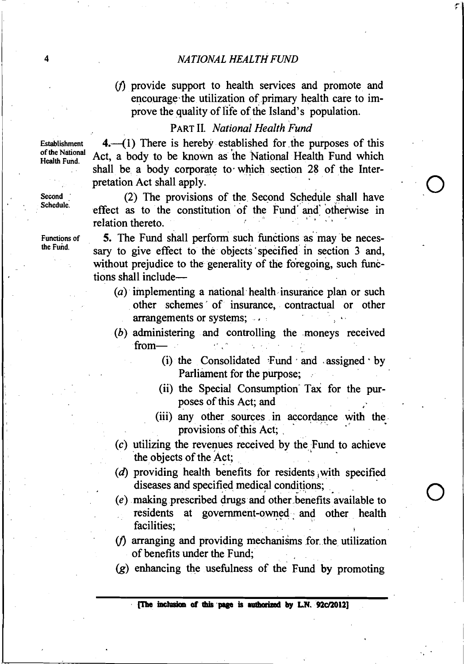$(1)$  provide support to health services and promote and encourage-the utilization of primary health care to improve the quality of life of the Island's population.

# PART **11.** National Health Fund

**4.**--(1) There is hereby established for the purposes of this Act, a body to be known as ihe National Health Fund which shall be a body corporate to which section 28 of the Interpretation Act shall apply.

(2) The provisions of the Second Schedule shall have effect as to the constitution of the Fund and otherwise in relation thereto.

5. The Fund shall perform such functions as may be necessary to give effect to the objects specified in section 3 and, without prejudice to the generality of the foregoing, such functions shall include-

- (a) implementing a national health insurance plan or such other schemes' of insurance, contractual or other arrangements or systems; ...
- (b) administering and controlling the moneys received  $from-$ 
	- (i) the Consolidated  $\text{Fund} \cdot \text{and} \cdot \text{assigned} \cdot \text{by}$ Parliament for the purpose;
	- (ii) the Special Consumption Tax for the purposes of this Act; and
	- (iii) any other sources in accordance with the provisions of this Act:
- $(c)$  utilizing the revenues received by the Fund to achieve the objects of the Act;
- $(d)$  providing health benefits for residents with specified diseases and specified medical conditions;
- $(e)$  making prescribed drugs and other benefits available to residents at government-owned and other health facilities; **<sup>h</sup>**
- $(f)$  arranging and providing mechanisms for the utilization of benefits under the Fund;
- **(g)** enhancing the usefulness of the Fund by promoting

Establishment of the National Health Fund.

Second<br>Schedule.

Functions of the Fund.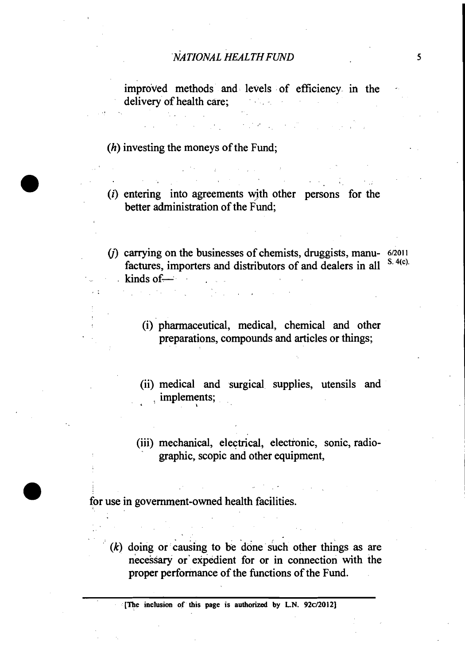improved methods and levels of efficiency in the delivery of health care;

(h) investing the moneys of the Fund;

- $(i)$  entering into agreements with other persons for the better administration of the Fund;
- (*j*) carrying on the businesses of chemists, druggists, manu- $6/2011$ factures, importers and distributors of and dealers in all  $kinds of -$ 
	- (i) pharmaceutical, medical, chemical and other preparations, compounds and articles or things;
	- (ii) medical and surgical supplies, utensils and **i**  implements;
	- (iii) mechanical, electrical, electionic, sonic, radiographic, scopic and other equipment,

for use in government-owned health facilities.

 $(k)$  doing or causing to be done such other things as are necessary or'expedient for or in connection with the proper performance of the functions of the Fund.

**[The inclusion of this page is authorized by L.N. 92ci2012]** 

 $\overline{\phantom{a}}$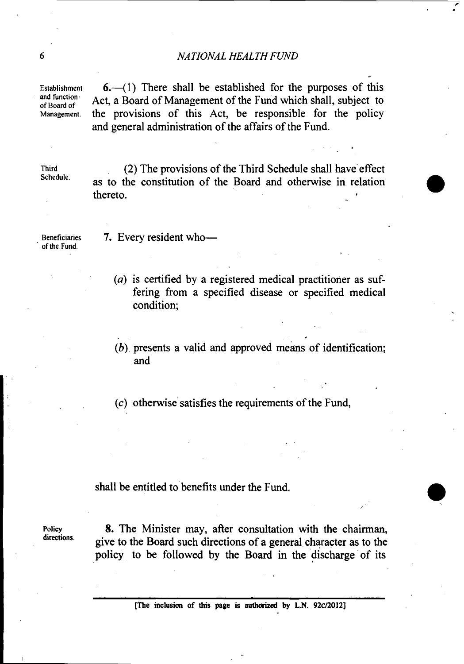and function<sup>s</sup><br>of Board of

Establishment  $\mathbf{6.} \rightarrow$  (1) There shall be established for the purposes of this and function.<br>
of Board of **Act, a Board of Management of the Fund which shall, subject to**<br>
Management the provisions of this Act, be responsible for the policy the provisions of this Act, be responsible for the policy and general administration of the affairs of the Fund.

**'Schedule.** 

**Third** (2) The provisions of the Third Schedule shall have'effect **as** to the constitution of the Board and otherwise in relation (2) The provisions of the Third Schedule shall have effect as to the constitution of the Board and otherwise in relation thereto.

**of the Fund.** 

**Beneficiaries 7.** Every resident who-

- (*a*) is certified by a registered medical practitioner as suffering from a specified disease or specified medical condition;
- $(b)$  presents a valid and approved means of identification; and

(c) otherwise satisfies the requirements of the Fund,

shall be entitled to benefits under the Fund.

**Policy** 8. The Minister may, after consultation with the chairman, **directions.** give to the Board such directions of a general character **as** to the policy to be followed by the Board in the discharge of its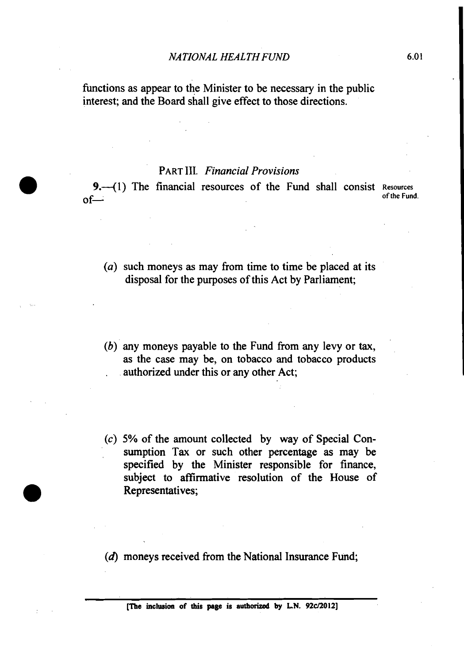functions as appear to the Minister to be necessary in the public interest; and the Board shall give effect to those directions.

# PART 111. *Financial Provisions*

**9.**-(1) The financial resources of the Fund shall consist Resources  $\text{of}$  **of**  $\text{the run}$ .

- *(a)* such moneys *as* may from time to time be placed at its disposal for the purposes of this Act by Parliament;
- (b) any moneys payable to the Fund from any levy or tax, **as** the case may be, on tobacco and tobacco products . authorized under this or any other Act;
- *(c) 5%* of the amount collected by way of Special Consumption Tax or such other percentage as may be specified by the Minister responsible for finance, subject to affirmative resolution of the House of Representatives;

 $(d)$  moneys received from the National Insurance Fund;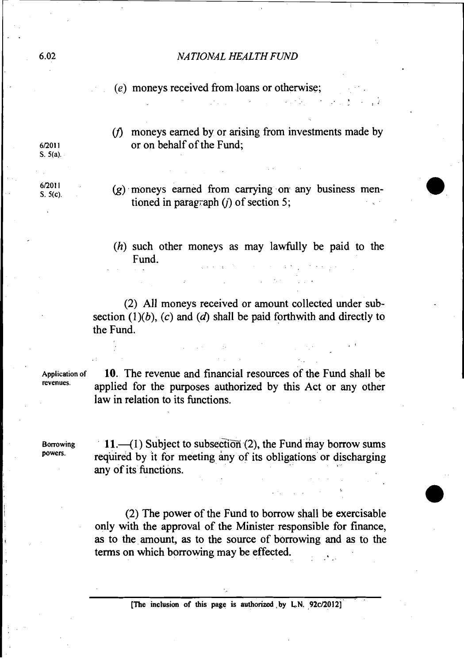$(e)$  moneys received from loans or otherwise;

 $(f)$  moneys earned by or arising from investments made by **61201 I** or on behalf of the Fund;

. . .,\* **.i** 

 $\cdot$  .

 $(g)$  moneys earned from carrying on any business mentioned in paragraph  $(i)$  of section 5;

 $(h)$  such other moneys as may lawfully be paid to the Fund.  $\mathcal{N}^{\mathcal{A}}$  and  $\mathcal{N}^{\mathcal{A}}$  are the set of  $\mathcal{N}^{\mathcal{A}}$  and  $\mathcal{N}^{\mathcal{A}}$ 

(2) All moneys received or amount collected under subsection  $(1)(b)$ ,  $(c)$  and  $(d)$  shall be paid forthwith and directly to the Fund.

**Application of** 10. The revenue and financial resources of the Fund shall be **revenues.** applied for the purposes authorized by this Act or any other law in relation to its functions.

**Borrowing 11.** (1) Subject to subsection (2), the Fund may borrow sums<br>powers. required by it for meeting any of its obligations or discharging any of its functions.

> (2) The power of the Fund to borrow shall be exercisable only with the approval of the Minister responsible for finance, as to the amount, as to the source of borrowing and as to the terms on which borrowing may be effected.

S. **5(a).** 

**6/2011**<br>**S 5**(c)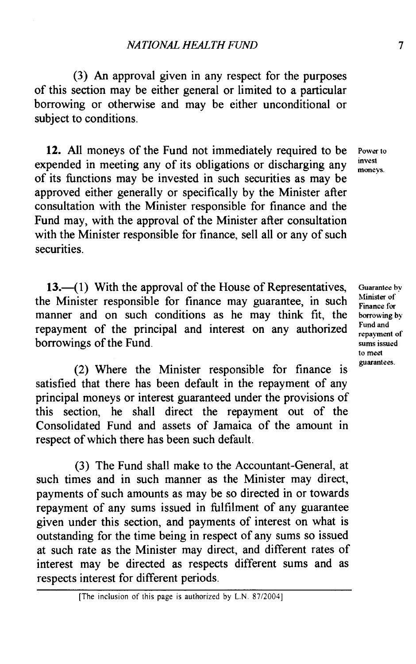**(3) An** approval given in any respect for the purposes of this section may be either general or limited to a particular borrowing or otherwise and may be either unconditional or subject to conditions.

**12.** All moneys of the Fund not immediately required to be **Power to provest** expended in meeting any of its obligations or discharging any moneys. of its functions may be invested in such securities as may be approved either generally or specifically by the Minister after consultation with the Minister responsible for finance and the Fund may, with the approval of the Minister after consultation with the Minister responsible for finance, sell all or any of such securities.

**13.**—(1) With the approval of the House of Representatives, the Minister responsible for finance may guarantee, in such manner and on such conditions as he may think fit, the repayment of the principal and interest on any authorized borrowings of the Fund.

(2) Where the Minister responsible for finance is satisfied that there has been default in the repayment of any principal moneys or interest guaranteed under the provisions of this section, he shall direct the repayment out of the Consolidated Fund and assets of Jamaica of the amount in respect of which there has been such default.

**(3)** The Fund shall make to the Accountant-General, at such times and in such manner as the Minister may direct, payments of such amounts as may be so directed in or towards repayment of any sums issued in fulfilment of any guarantee given under this section, and payments of interest on what is outstanding for the time being in respect of any sums so issued at such rate as the Minister may direct, and different rates of interest may be directed as respects different sums and as respects interest for different periods.

<sup>[</sup>The inclusion of this page is authorized by L.N. 87/2004]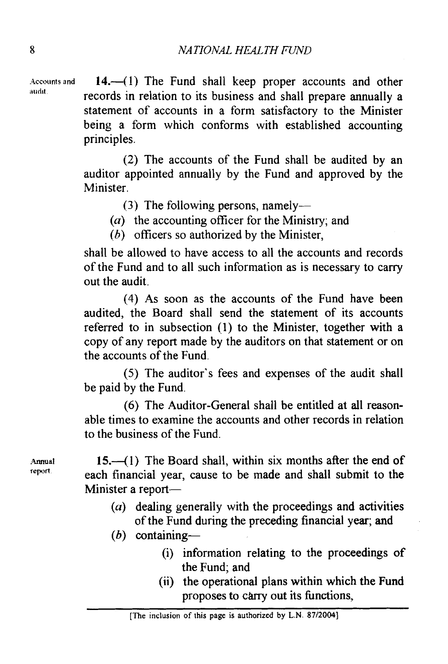Accounts and **14.** (1) The Fund shall keep proper accounts and other records in relation to its business and shall prepare annually a statement of accounts in a form satisfactory to the Minister being a form which conforms with established accounting principles.

> (2) The accounts of the Fund shall be audited by an auditor appointed annually by the Fund and approved by the Minister.

> > **(3)** The following persons, namely-

*(a)* the accounting officer for the Ministry; and

*(h)* officers so authorized by the Minister,

shall be allowed to have access to all the accounts and records of the Fund and to all such information as is necessary to carry out the audit.

(4) As soon as the accounts of the Fund have been audited, the Board shall send the statement of its accounts referred to in subsection (1) to the Minister, together with a copy of any report made by the auditors on that statement or on the accounts of the Fund.

(5) The auditor's fees and expenses of the audit shall be paid by the Fund.

(6) The Auditor-General shall be entitled at all reasonable times to examine the accounts and other records in relation to the business of the Fund.

Annual **15.**-(1) The Board shall, within six months after the end of report each financial year, cause to be made and shall submit to the Minister a report-

> **(a)** dealing generally with the proceedings and activities of the Fund during the preceding financial year; and

 $(b)$  containing-

- (i) information relating to the proceedings of the Fund; and
- (ii) the operational plans within which the Fund proposes to c&ry out its functions,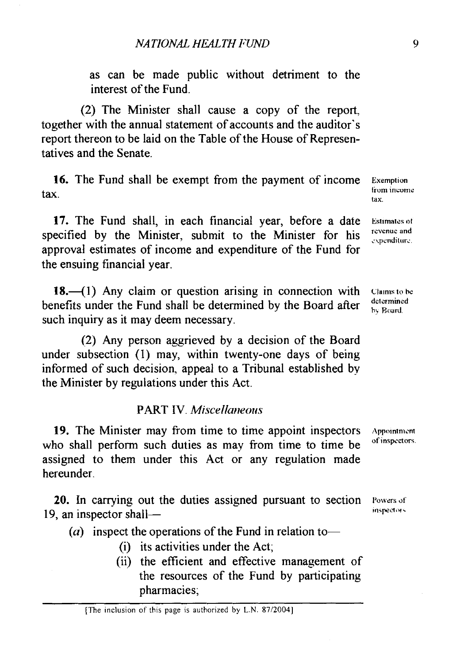as can be made public without detriment to the interest of the Fund.

(2) The Minister shall cause a copy of the report, together with the annual statement of accounts and the auditor's report thereon to be laid on the Table of the House of Representatives and the Senate.

16. The Fund shall be exempt from the payment of income tax.

17. The Fund shall, in each financial year, before a date specified by the Minister, submit to the Minister for his approval estimates of income and expenditure of the Fund for the ensuing financial year.

18. $-(1)$  Any claim or question arising in connection with benefits under the Fund shall be determined by the Board after such inquiry as it may deem necessary.

(2) Any person aggrieved by a decision of the Board under subsection (1) may, within twenty-one days of being informed of such decision, appeal to a Tribunal established by the Minister by regulations under this Act.

## **PART IV.** Miscellaneous

19. The Minister may from time to time appoint inspectors Appointment who shall perform such duties as mav from time to time be of inspectors. assigned to them under this Act or any regulation made hereunder.

20. In carrying out the duties assigned pursuant to section 19, an inspector shall-

(a) inspect the operations of the Fund in relation to-

- (i) its activities under the Act;
- (ii) the efficient and effective management of the resources of the Fund by participating pharmacies;

**Exemption from income** tax.

*<u>Estimates of</u>* **rcvcnuc and**  expenditure.

**Claims** to be **detcrmincd**  h? **Road.** 

Powers of inspectors.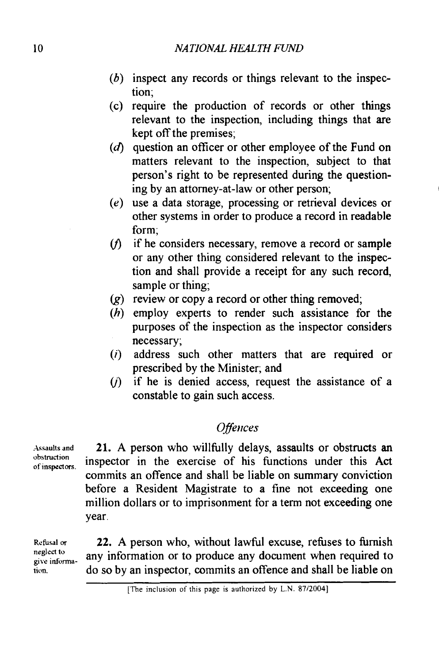- $(b)$  inspect any records or things relevant to the inspection;
- (c) require the production of records or other things relevant to the inspection, including things that are kept off the premises;
- $(d)$  question an officer or other employee of the Fund on matters relevant to the inspection, subject to that person's right to be represented during the questioning by an attorney-at-law or other person;
- $(e)$  use a data storage, processing or retrieval devices or other systems in order to produce a record in readable form;
- $(f)$  if he considers necessary, remove a record or sample or any other thing considered relevant to the inspection and shall provide a receipt for any such record, sample or thing;
- $(g)$  review or copy a record or other thing removed;
- $(h)$  employ experts to render such assistance for the purposes of the inspection as the inspector considers necessary;
- address such other matters that are required or prescribed by the Minister; and
- $(i)$  if he is denied access, request the assistance of a constable to gain such access.

# **Offences**

21. A person who willfully delays, assaults or obstructs an inspector in the exercise of his fimctions under this Act commits an offence and shall be liable on summary conviction before a Resident Magistrate to a fine not exceeding one million dollars or to imprisonment for a term not exceeding one year.

**give infoma-**22. A person who, without lawful excuse, refuses to furnish any information or to produce any document when required to do so by an inspector, commits an offence and shall be liable on

**;Issaults and obstruction of inspectors.** 

**Refusal or neglect to** 

**tion.**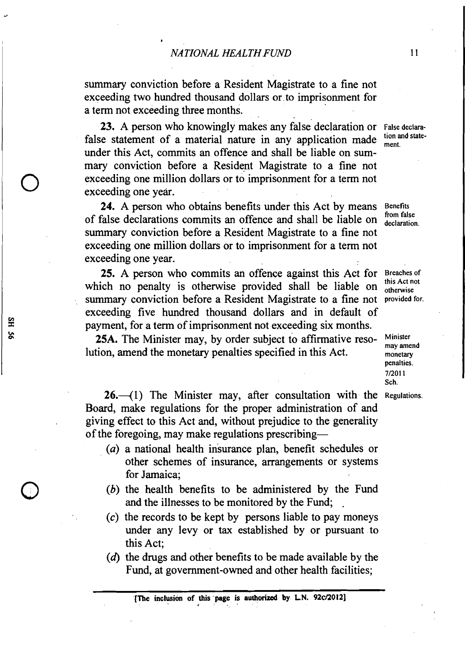summary conviction before a Resident Magistrate to a fine not exceeding two hundred thousand dollars or. to imprisonment for a term not exceeding three months.

23. A person who knowingly makes any false declaration or False declara-<br>false statement of a material nature in any application made  $\frac{\text{tion and state}}{\text{max}}$ the statement of a material nature in any application made  $_{\text{ment}}$  and  $_{\text{ment}}$  and shall be liable on summary conviction before a Resident Magistrate to a fine not exceeding one million dollars or to imprisonment for a term not exceeding one year.

24. A person who obtains benefits under this Act by means Benefits of false declarations commits an offence and shall be liable on  $_{\text{declaration}}^{\text{from false}}$ summary conviction before a Resident Magistrate to a fine not exceeding one million dollars or to imprisonment for a term not exceeding one year.

**25.** A person who commits an offence against this Act for which no penalty is otherwise provided shall be liable on summary conviction before a Resident Magistrate to a fine not exceeding five hundred thousand dollars and in default of payment, for a term of imprisonment not exceeding six months.

**25A.** The Minister may, by order subject to affirmative resolution, amend the monetary penalties specified in this Act.

**26.** (1) The Minister may, after consultation with the Regulations. Board, make regulations for the proper administration of and giving effect to this Act and, without prejudice to the generality of the foregoing, may make regulations prescribing-

- *(a)* a national health insurance plan, benefit schedules or other schemes of insurance, arrangements or systems for Jamaica;
- *(b)* the health benefits to be administered by the Fund and the illnesses to be monitored by the Fund:
- (c) the records to be kept by persons liable to pay moneys under any levy or **tax** established by or pursuant to this Act;
- $(d)$  the drugs and other benefits to be made available by the Fund, at government-owned and other health facilities;

Breaches of this Act not otherwise provided for.

Minister may amend monetary penalties. **7\20] 1**  Sch.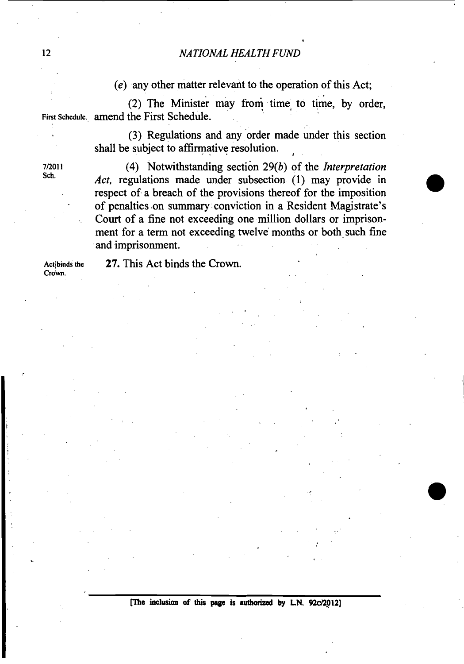*(e)* any other matter relevant to the operation of this Act;

 $(2)$  The Minister may from time to time, by order, First Schedule. amend the First Schedule.

> (3) Regulations and any order made under this section shall be subject to affirmative resolution.

**~ROII** (4) Notwithstanding section *29(b)* of the *Interpretation*  Act, regulations made under subsection (1) may provide in respect of a breach of the provisions thereof for the imposition of penalties on summary conviction in a Resident Magistrate's Court of a fine not exceeding one million dollars or imprisonment for a term not exceeding twelve months or both such fine and imprisonment.

**Crown.** 

Actibinds the 27. This Act binds the Crown.

**me inclusian of this** peee **is authorized by LN. 92clZ.Q12]**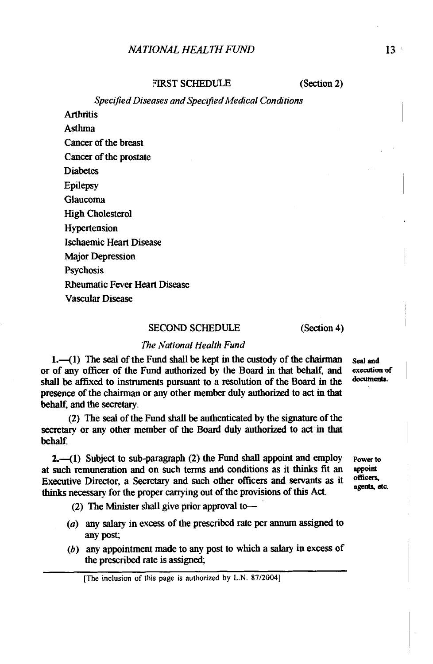FIRST SCHEDULE (Section 2)

*Specified Diseases and Specified Medical Conditions* 

**Arthritis** 

Asthma Cancer of the breast

Cancer of the prostate

**Diabetes** 

Epilepsy

Glaucoma

High Cholesterol

Hypertension

Ischaemic Heart Disease

Major Depression

**Psychosis** 

Rheumatic Fever Heart Disease

Vascular Disease

### SECOND SCHEDULE (Section 4)

## *The National Health Fund*

1.-(1) The seal of the Fund shall be kept in the custody of the chairman seal and of any officer of the Fund authorized by the Board in that behalf and execution of or of any officer of the Fund authorized by the Board in that behalf, and **execution** of the local in the **documents**. shall be affixed to instruments pursuant to a resolution of the Board in the presence of the chairman or any other member duly authorized to act in that behalf, and the secretary.

(2) The seal of the Fund shall be authenticated by the signature of the secretary or any other member of the Board duly authorized to act in that behalf.

2.—(1) Subject to sub-paragraph (2) the Fund shall appoint and employ **Power to such remuneration** and on such terms and conditions as it thinks fit an **appoint** at such remuneration and on such terms and conditions **as** it thinks fit an appoint Executive Director, a Secretary and such other officers and servants as it officers,<br>thinks necessary for the proper carrying out of the provisions of this Act.

(2) The Minister shall give prior approval to-

- (a) any **salary** in excess of the prescribed rate per **annum** assigned to any post;
- **(6)** any appointment made to any post to which a salary in excess of the prescribed rate is assigned;

[The inclusion of this page is authorized by **L.N.** 87120041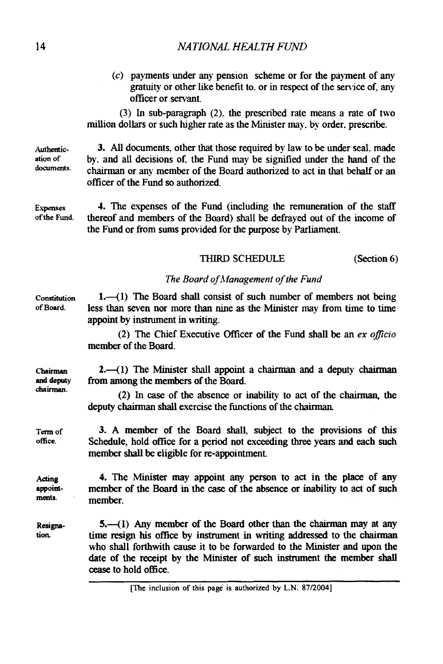(c) payments under any pension scheme or for the payment of **any**  gratuity or other like benefit to. or in respect of the semice of. any officer or servant.

(3) In sub-paragraph (2). the prescribed rate means a rate of two million dollars or such higher rate as the Minister may, by order, prescribe.

3. **All** documents, other that those required by law to be under seal. made by. and all decisions of. the Fund may be signified under the hand of the chauman or **any** member of the Board authorized to act in that behalf or an officer of the Fund so authorized.

4. The expenses of the Fund (including the remuneration of the staff thereof and members of the Board) shall be defrayed out of the income of the Fund or from sums provided for the purpose by Parliament.

## THIRD SCHEDULE (Section 6)

## *The Board of hiianagement of the Fund*

**Constitution**   $1,-(1)$  The Board shall consist of such number of members not being less than seven nor more than nine as the Minister may from time to time appoint by instrument in writing.

> (2) The Chief Executive Officer of the Fund shall be an *ex oflcio*  member of the Board.

 $2.41$ ) The Minister shall appoint a chairman and a deputy chairman from among the members of the Board.

(2) In **case** of the absence or inability to act of the chamm, the deputy chairman shall exercise the functions of the chairman.

3. **A** member of the Board shall, subject to the provisions of this Schedule, hold office for a period not exceeding three years and each such member shall be eligible for re-appointment.

4. The Minister may appoint any person to act in the place of any Acting member of the Board in the case of the absence or inability to act of such **appoint**ments. member.

> 5.41) Any member of the Board other **than** the chairman may at any time resign his office by instrument in writing addressed to the chairman who shall forthwith **cause** it to be forwarded to the Minister and upon the date of the receipt by the Minister of such instrument the member shall **cease** to hold office.

**Authentication of documents.** 

**Expznses of the Fund.** 

**of Board.** 

**Chairman and** deputy **drainnan.** 

**Term of office.** 

**Resignation**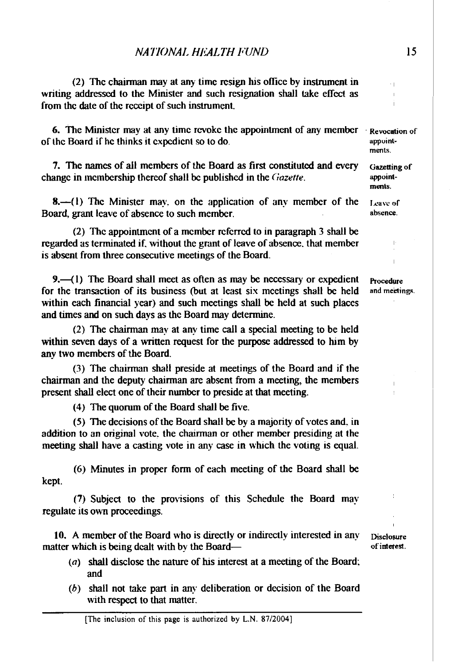$(2)$  The chairman may at any time resign his office by instrument in writing addressed to the Minister and such resignation shall take effect as from thc date of thc rcccipt of such instrument.

6. The Minister may at any time revoke the appointment of any member  $\cdot$  Revocation of of the Board if he thinks it cxpcdicnt so to do.

7. The **names** of all members of the Board as first constituted and every change in membership thereof shall be published in the Gazette.

8.—(1) The Minister may, on the application of any member of the Board, grant leave of absence to such member.

(2) The appointment of a member referrcd to in paragraph 3 shall be regarded as terminated if, without the grant of leave of absence, that member is absent from three consecutive meetings of the Board.

9. $-$ (1) The Board shall meet as often as may be necessary or expedient for the transaction of its business (but at least six meetings shall be held within each financial year) and such meetings shall be held at such places and times and on such days as the Board may determine.

(2) The chairman may at any time call a special meeting to be held within seven days of a written request for the purpose addressed to him by **any** two members of the Board.

(3) The chairman shall preside at meetings of the Board and if the chairman and the deputy chairman are absent from a meeting, the members present shall elect one of their number to preside at that meeting.

(4) The quorum of the Board shall be five.

(5) The decisions of the Board shall be by a majority of votes and. in addition to an original vote. the chairman or other member presiding at the meeting shall have a casting vote in any case in whch the voting is equal.

(6) Minutes in proper form of each meeting of the Board shall be kept.

(7) Subject to the provisions of this Schedule the Board may regulate its own proceedings.

10. **A** member of the Board who is duectly or indirectly interested in any matter which is being dealt with by the Board-

- (a) shall disclose the nature of his interest at a meeting of the Board; and
- (b) shall not take part in any deliberation or decision of the Board with respect to that matter.

**Disclosure of intetest.** 

**Procedure** and meetings.

Ĭ.

appointments.

Gazetting of appointments.

**Ixaw of absence.** 

15